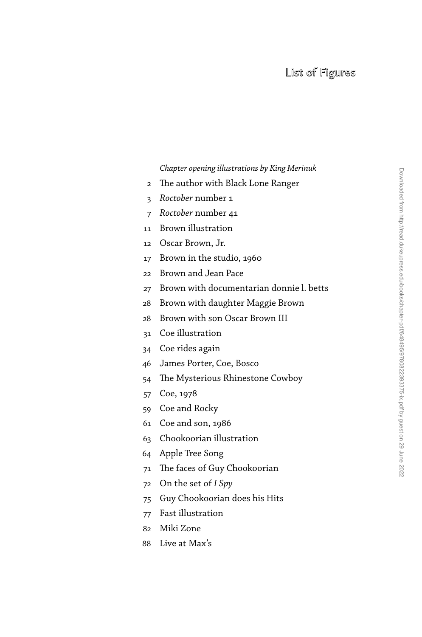## List of Figures

## *Chapter opening illustrations by King Merinuk*

- 2 The author with Black Lone Ranger
- 3 *Roctober* number 1
- 7 *Roctober* number 41
- 11 Brown illustration
- 12 Oscar Brown, Jr.
- 17 Brown in the studio, 1960
- 22 Brown and Jean Pace
- 27 Brown with documentarian donnie l. betts
- 28 Brown with daughter Maggie Brown
- 28 Brown with son Oscar Brown III
- 31 Coe illustration
- 34 Coe rides again
- 46 James Porter, Coe, Bosco
- 54 The Mysterious Rhinestone Cowboy
- 57 Coe, 1978
- 59 Coe and Rocky
- 61 Coe and son, 1986
- 63 Chookoorian illustration
- 64 Apple Tree Song
- 71 The faces of Guy Chookoorian
- 72 On the set of *I Spy*
- 75 Guy Chookoorian does his Hits
- 77 Fast illustration
- 82 Miki Zone
- 88 Live at Max's